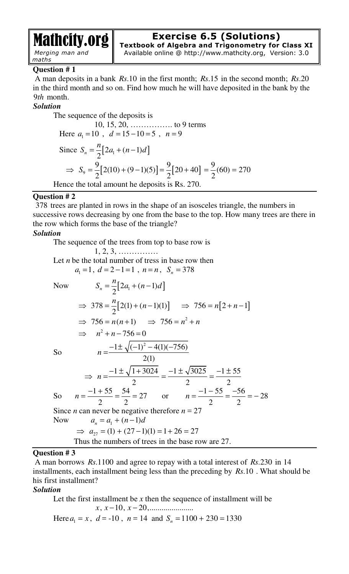# Mathcity.org

*Merging man and maths* 

# **Exercise 6.5 (Solutions)**

**Textbook of Algebra and Trigonometry for Class XI**  Available online @ http://www.mathcity.org, Version: 3.0

# **Question # 1**

 A man deposits in a bank *Rs*.10 in the first month; *Rs*.15 in the second month; *Rs*.20 in the third month and so on. Find how much he will have deposited in the bank by the 9*th* month.

# *Solution*

The sequence of the deposits is 10, 15, 20, ……………. to 9 terms Here  $a_1 = 10$ ,  $d = 15 - 10 = 5$ ,  $n = 9$ Since  $S_n = \frac{n}{2} [2a_1 + (n-1)d]$  $n - 2$ *n*  $S_n = -\frac{n}{2} [2a_1 + (n-1)d]$  $\Rightarrow S_9 = \frac{9}{2} [ 2(10) + (9-1)(5) ] = \frac{9}{2} [ 20 + 40 ] = \frac{9}{2} (60) = 270$  $2^{1}$  2  $2^{1}$  2  $\Rightarrow S_9 = \frac{9}{5} [2(10) + (9-1)(5)] = \frac{9}{5} [20 + 40] = \frac{9}{5} (60) =$ Hence the total amount he deposits is Rs. 270.

# **Question # 2**

378 trees are planted in rows in the shape of an isosceles triangle, the numbers in successive rows decreasing by one from the base to the top. How many trees are there in the row which forms the base of the triangle?

# *Solution*

The sequence of the trees from top to base row is

1, 2, 3, …………… Let *n* be the total number of tress in base row then  $a_1 = 1, d = 2 - 1 = 1, n = n, S_n = 378$ 

Now 
$$
S_n = \frac{n}{2} [2a_1 + (n-1)d]
$$
  
\n $\Rightarrow 378 = \frac{n}{2} [2(1) + (n-1)(1)] \Rightarrow 756 = n[2 + n - 1]$   
\n $\Rightarrow 756 = n(n+1) \Rightarrow 756 = n^2 + n$   
\n $\Rightarrow n^2 + n - 756 = 0$ 

So

$$
\Rightarrow n + n - 756 = 0
$$
  
\nSo  $n = \frac{-1 \pm \sqrt{(-1)^2 - 4(1)(-756)}}{2(1)}$   
\n
$$
\Rightarrow n = \frac{-1 \pm \sqrt{1 + 3024}}{2} = \frac{-1 \pm \sqrt{3025}}{2} = \frac{-1 \pm 55}{2}
$$
  
\nSo  $n = \frac{-1 + 55}{2} = \frac{54}{2} = 27$  or  $n = \frac{-1 - 55}{2} = \frac{-56}{2} = -28$   
\nSince *n* can never be negative therefore *n* = 27  
\nNow  $a_n = a_1 + (n-1)d$   
\n $\Rightarrow a_{27} = (1) + (27 - 1)(1) = 1 + 26 = 27$   
\nThus the numbers of trees in the base row are 27.

# **Question # 3**

 A man borrows *Rs*.1100 and agree to repay with a total interest of *Rs*.230 in 14 installments, each installment being less than the preceding by *Rs*.10 . What should be his first installment?

# *Solution*

Let the first installment be *x* then the sequence of installment will be  $x, x-10, x-20, \dots$ Here  $a_1 = x$ ,  $d = -10$ ,  $n = 14$  and  $S_n = 1100 + 230 = 1330$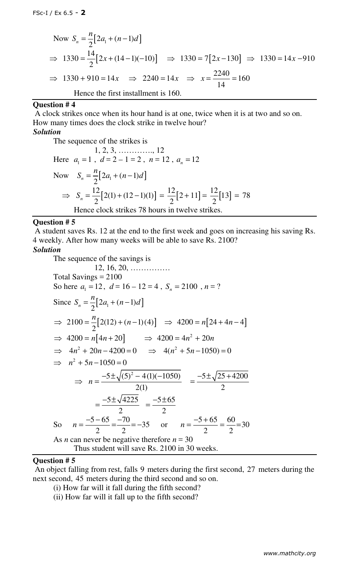Now 
$$
S_n = \frac{n}{2} [2a_1 + (n-1)d]
$$
  
\n $\Rightarrow 1330 = \frac{14}{2} [2x + (14-1)(-10)] \Rightarrow 1330 = 7 [2x - 130] \Rightarrow 1330 = 14x - 910$   
\n $\Rightarrow 1330 + 910 = 14x \Rightarrow 2240 = 14x \Rightarrow x = \frac{2240}{14} = 160$   
\nHence the first installment is 160.

## **Question # 4**

 A clock strikes once when its hour hand is at one, twice when it is at two and so on. How many times does the clock strike in twelve hour?

# *Solution*

The sequence of the strikes is  
\n1, 2, 3, ........., 12  
\nHere 
$$
a_1 = 1
$$
,  $d = 2 - 1 = 2$ ,  $n = 12$ ,  $a_n = 12$   
\nNow  $S_n = \frac{n}{2}[2a_1 + (n-1)d]$   
\n $\Rightarrow S_n = \frac{12}{2}[2(1) + (12-1)(1)] = \frac{12}{2}[2 + 11] = \frac{12}{2}[13] = 78$   
\nHence clock strikes 78 hours in twelve strikes.

#### **Question # 5**

 A student saves Rs. 12 at the end to the first week and goes on increasing his saving Rs. 4 weekly. After how many weeks will be able to save Rs. 2100?

# *Solution*

The sequence of the savings is 12, 16, 20, …………… Total Savings = 2100 So here  $a_1 = 12$ ,  $d = 16 - 12 = 4$ ,  $S_n = 2100$ ,  $n = ?$ Since  $S_n = \frac{n}{2} [2a_1 + (n-1)d]$  $n - 2$ *n*  $S_n = -\frac{n}{2} [2a_1 + (n-1)d]$  $2100 = \frac{n}{2}[2(12) + (n-1)(4)]$ 2  $\Rightarrow$  2100 =  $\frac{n}{2}[2(12) + (n-1)(4)]$   $\Rightarrow$  4200 =  $n[24 + 4n - 4]$  $\Rightarrow$  4200 =  $n[4n+20]$   $\Rightarrow$  4200 =  $4n^2 + 20n$  $\implies$  4n<sup>2</sup> + 20n - 4200 = 0  $\implies$  4(n<sup>2</sup> + 5n - 1050) = 0  $\implies n^2 + 5n - 1050 = 0$  $5 \pm \sqrt{(5)^2 - 4(1)(-1050)}$ 2(1) *n* ⇒  $n = \frac{-5 \pm \sqrt{(5)^2 - 4(1)(-1050)}}{2(1)}$  =  $\frac{-5 \pm \sqrt{25 + 4200}}{2}$ 2  $-5 \pm \sqrt{25} +$ =  $5 \pm \sqrt{4225}$ 2  $-5\pm$ =  $5 + 65$ 2  $-5\pm$ = So  $n = \frac{-5 - 65}{2} = \frac{-70}{2} = -35$ 2 2 *n*  $-5 - 65$  –  $=\frac{-5-65}{2}=\frac{-70}{2}=-35$  or  $n=\frac{-5+65}{2}=\frac{60}{2}=30$ 2 2 *n*  $-5+$  $=\frac{3+05}{2}=\frac{00}{2}=$ As *n* can never be negative therefore  $n = 30$ Thus student will save Rs. 2100 in 30 weeks.

# Question # 5

 An object falling from rest, falls 9 meters during the first second, 27 meters during the next second, 45 meters during the third second and so on.

- (i) How far will it fall during the fifth second?
- (ii) How far will it fall up to the fifth second?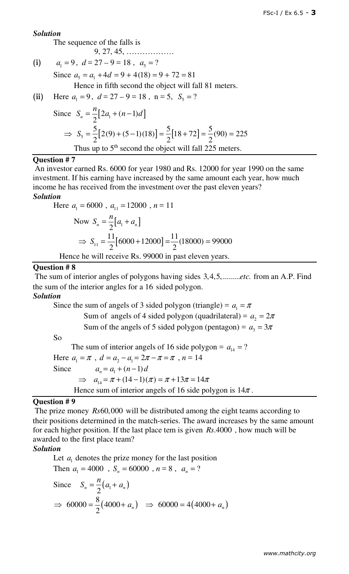## *Solution*

The sequence of the falls is

 $(i)$ 

 $a_1 = 9$ ,  $d = 27 - 9 = 18$ ,  $a_5 = ?$ 

Since  $a_5 = a_1 + 4d = 9 + 4(18) = 9 + 72 = 81$ 

9, 27, 45, ………………

Hence in fifth second the object will fall 81 meters.

(ii) Here  $a_1 = 9$ ,  $d = 27 - 9 = 18$ ,  $n = 5$ ,  $S_5 = ?$ 

Since 
$$
S_n = \frac{n}{2} [2a_1 + (n-1)d]
$$
  
\n $\Rightarrow S_5 = \frac{5}{2} [2(9) + (5-1)(18)] = \frac{5}{2} [18 + 72] = \frac{5}{2} (90) = 225$   
\nThus up to 5<sup>th</sup> second the object will fall 225 meters.

### **Question # 7**

 An investor earned Rs. 6000 for year 1980 and Rs. 12000 for year 1990 on the same investment. If his earning have increased by the same amount each year, how much income he has received from the investment over the past eleven years?

# *Solution*

Here 
$$
a_1 = 6000
$$
,  $a_{11} = 12000$ ,  $n = 11$   
\nNow  $S_n = \frac{n}{2}[a_1 + a_n]$   
\n $\Rightarrow S_{11} = \frac{11}{2}[6000 + 12000] = \frac{11}{2}(18000) = 99000$   
\nHence he will receive Rs. 99000 in past eleven years.

## [**Question # 8**

The sum of interior angles of polygons having sides 3,4,5,........*etc*. from an A.P. Find the sum of the interior angles for a 16 sided polygon.

## *Solution*

Since the sum of angels of 3 sided polygon (triangle) =  $a_1 = \pi$ Sum of angels of 4 sided polygon (quadrilateral) =  $a_2 = 2\pi$ Sum of the angels of 5 sided polygon (pentagon) =  $a_3 = 3\pi$ So The sum of interior angels of 16 side polygon =  $a_{14} = ?$ Here  $a_1 = \pi$ ,  $d = a_2 - a_1 = 2\pi - \pi = \pi$ ,  $n = 14$ Since  $a_n = a_1 + (n-1)d$  $\implies a_{14} = \pi + (14 - 1)(\pi) = \pi + 13\pi = 14\pi$ Hence sum of interior angels of 16 side polygon is  $14\pi$ .

## **Question # 9**

 The prize money *Rs*60,000 will be distributed among the eight teams according to their positions determined in the match-series. The award increases by the same amount for each higher position. If the last place tem is given *Rs*.4000 , how much will be awarded to the first place team?

## *Solution*

Let  $a_1$  denotes the prize money for the last position Then  $a_1 = 4000$ ,  $S_n = 60000$ ,  $n = 8$ ,  $a_n = ?$ 

Since 
$$
S_n = \frac{n}{2}(a_1 + a_n)
$$
  
\n $\Rightarrow 60000 = \frac{8}{2}(4000 + a_n) \Rightarrow 60000 = 4(4000 + a_n)$